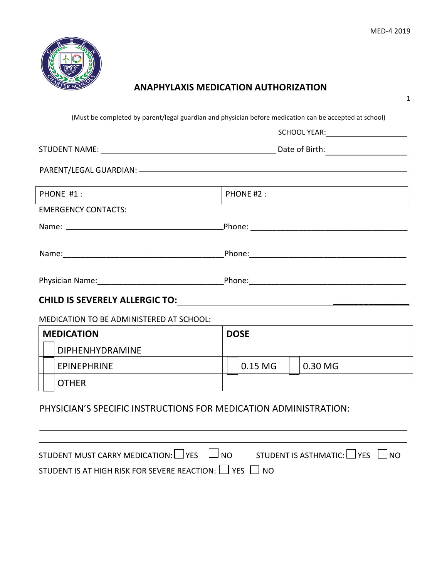1



### **ANAPHYLAXIS MEDICATION AUTHORIZATION**

|                   |                                          |             | SCHOOL YEAR: The Contract of the Contract of the Contract of the Contract of the Contract of the Contract of the Contract of the Contract of the Contract of the Contract of the Contract of the Contract of the Contract of t |  |
|-------------------|------------------------------------------|-------------|--------------------------------------------------------------------------------------------------------------------------------------------------------------------------------------------------------------------------------|--|
|                   |                                          |             |                                                                                                                                                                                                                                |  |
|                   |                                          |             |                                                                                                                                                                                                                                |  |
| PHONE #1:         |                                          | PHONE #2:   |                                                                                                                                                                                                                                |  |
|                   | <b>EMERGENCY CONTACTS:</b>               |             |                                                                                                                                                                                                                                |  |
|                   |                                          |             |                                                                                                                                                                                                                                |  |
|                   |                                          |             |                                                                                                                                                                                                                                |  |
|                   |                                          |             |                                                                                                                                                                                                                                |  |
|                   |                                          |             |                                                                                                                                                                                                                                |  |
|                   | MEDICATION TO BE ADMINISTERED AT SCHOOL: |             |                                                                                                                                                                                                                                |  |
| <b>MEDICATION</b> |                                          | <b>DOSE</b> |                                                                                                                                                                                                                                |  |
|                   | <b>DIPHENHYDRAMINE</b>                   |             |                                                                                                                                                                                                                                |  |
|                   | <b>EPINEPHRINE</b>                       | 0.15 MG     | 0.30 MG                                                                                                                                                                                                                        |  |
|                   | <b>OTHER</b>                             |             | the contract of the contract of the contract of the contract of the contract of the contract of the contract of                                                                                                                |  |

STUDENT MUST CARRY MEDICATION:  $\Box$  YES  $\Box$  NO STUDENT IS ASTHMATIC:  $\Box$  YES  $\Box$  NO STUDENT IS AT HIGH RISK FOR SEVERE REACTION:  $\Box$  YES  $\Box$  NO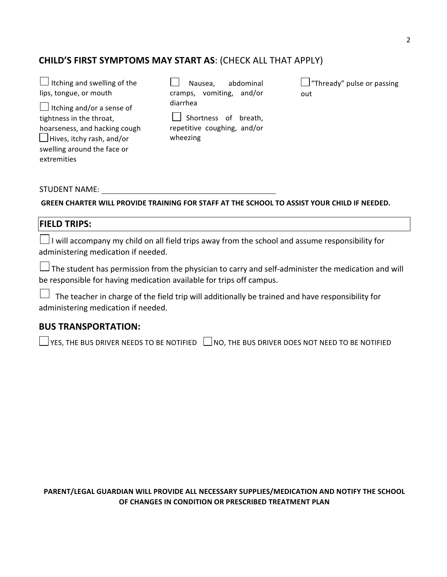### **CHILD'S FIRST SYMPTOMS MAY START AS: (CHECK ALL THAT APPLY)**

| $\Box$ Itching and swelling of the | abdominal<br>Nausea,        | $\Box$ "Thready" pulse or passing |
|------------------------------------|-----------------------------|-----------------------------------|
| lips, tongue, or mouth             | vomiting, and/or<br>cramps, | out                               |
| $\Box$ Itching and/or a sense of   | diarrhea                    |                                   |
| tightness in the throat,           | Shortness of breath,        |                                   |
| hoarseness, and hacking cough      | repetitive coughing, and/or |                                   |
| $\Box$ Hives, itchy rash, and/or   | wheezing                    |                                   |
| swelling around the face or        |                             |                                   |
| extremities                        |                             |                                   |

STUDENT NAME: THE STUDENT NAME:

**GREEN CHARTER WILL PROVIDE TRAINING FOR STAFF AT THE SCHOOL TO ASSIST YOUR CHILD IF NEEDED.** 

#### **FIELD TRIPS:**

 $\Box$ I will accompany my child on all field trips away from the school and assume responsibility for administering medication if needed.

 $\Box$  The student has permission from the physician to carry and self-administer the medication and will be responsible for having medication available for trips off campus.

 $\Box$  The teacher in charge of the field trip will additionally be trained and have responsibility for administering medication if needed.

#### **BUS TRANSPORTATION:**

 $\Box$  YES, THE BUS DRIVER NEEDS TO BE NOTIFIED  $\Box$  NO, THE BUS DRIVER DOES NOT NEED TO BE NOTIFIED

PARENT/LEGAL GUARDIAN WILL PROVIDE ALL NECESSARY SUPPLIES/MEDICATION AND NOTIFY THE SCHOOL **OF CHANGES IN CONDITION OR PRESCRIBED TREATMENT PLAN**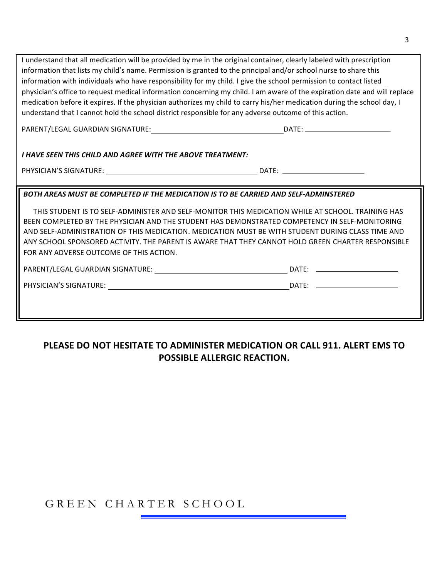| I understand that all medication will be provided by me in the original container, clearly labeled with prescription                                                                                                           |                                                                                                                           |
|--------------------------------------------------------------------------------------------------------------------------------------------------------------------------------------------------------------------------------|---------------------------------------------------------------------------------------------------------------------------|
| information that lists my child's name. Permission is granted to the principal and/or school nurse to share this                                                                                                               |                                                                                                                           |
| information with individuals who have responsibility for my child. I give the school permission to contact listed                                                                                                              |                                                                                                                           |
|                                                                                                                                                                                                                                | physician's office to request medical information concerning my child. I am aware of the expiration date and will replace |
| medication before it expires. If the physician authorizes my child to carry his/her medication during the school day, I                                                                                                        |                                                                                                                           |
| understand that I cannot hold the school district responsible for any adverse outcome of this action.                                                                                                                          |                                                                                                                           |
|                                                                                                                                                                                                                                |                                                                                                                           |
|                                                                                                                                                                                                                                |                                                                                                                           |
| I HAVE SEEN THIS CHILD AND AGREE WITH THE ABOVE TREATMENT:                                                                                                                                                                     |                                                                                                                           |
|                                                                                                                                                                                                                                |                                                                                                                           |
|                                                                                                                                                                                                                                | DATE: _________________________                                                                                           |
| BOTH AREAS MUST BE COMPLETED IF THE MEDICATION IS TO BE CARRIED AND SELF-ADMINSTERED                                                                                                                                           |                                                                                                                           |
|                                                                                                                                                                                                                                |                                                                                                                           |
|                                                                                                                                                                                                                                | THIS STUDENT IS TO SELF-ADMINISTER AND SELF-MONITOR THIS MEDICATION WHILE AT SCHOOL. TRAINING HAS                         |
| BEEN COMPLETED BY THE PHYSICIAN AND THE STUDENT HAS DEMONSTRATED COMPETENCY IN SELF-MONITORING                                                                                                                                 |                                                                                                                           |
|                                                                                                                                                                                                                                | AND SELF-ADMINISTRATION OF THIS MEDICATION. MEDICATION MUST BE WITH STUDENT DURING CLASS TIME AND                         |
|                                                                                                                                                                                                                                |                                                                                                                           |
| ANY SCHOOL SPONSORED ACTIVITY. THE PARENT IS AWARE THAT THEY CANNOT HOLD GREEN CHARTER RESPONSIBLE                                                                                                                             |                                                                                                                           |
| FOR ANY ADVERSE OUTCOME OF THIS ACTION.                                                                                                                                                                                        |                                                                                                                           |
| PARENT/LEGAL GUARDIAN SIGNATURE: University of the contract of the contract of the contract of the contract of the contract of the contract of the contract of the contract of the contract of the contract of the contract of |                                                                                                                           |
| PHYSICIAN'S SIGNATURE: University of the contract of the contract of the contract of the contract of the contract of the contract of the contract of the contract of the contract of the contract of the contract of the contr |                                                                                                                           |
|                                                                                                                                                                                                                                |                                                                                                                           |
|                                                                                                                                                                                                                                |                                                                                                                           |

## **PLEASE DO NOT HESITATE TO ADMINISTER MEDICATION OR CALL 911. ALERT EMS TO POSSIBLE ALLERGIC REACTION.**

# GREEN CHARTER SCHOOL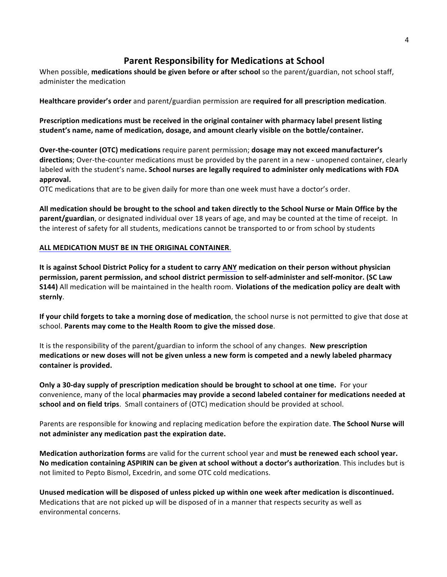### **Parent Responsibility for Medications at School**

When possible, medications should be given before or after school so the parent/guardian, not school staff, administer the medication

**Healthcare provider's order** and parent/guardian permission are required for all prescription medication.

**Prescription** medications must be received in the original container with pharmacy label present listing student's name, name of medication, dosage, and amount clearly visible on the bottle/container.

**Over-the-counter (OTC) medications** require parent permission; **dosage may not exceed manufacturer's directions**; Over-the-counter medications must be provided by the parent in a new - unopened container, clearly labeled with the student's name. School nurses are legally required to administer only medications with FDA **approval.**

OTC medications that are to be given daily for more than one week must have a doctor's order.

All medication should be brought to the school and taken directly to the School Nurse or Main Office by the **parent/guardian**, or designated individual over 18 years of age, and may be counted at the time of receipt. In the interest of safety for all students, medications cannot be transported to or from school by students

#### **ALL MEDICATION MUST BE IN THE ORIGINAL CONTAINER.**

It is against School District Policy for a student to carry ANY medication on their person without physician **permission, parent permission, and school district permission to self-administer and self-monitor. (SC Law S144)** All medication will be maintained in the health room. Violations of the medication policy are dealt with **sternly**. 

**If your child forgets to take a morning dose of medication**, the school nurse is not permitted to give that dose at school. Parents may come to the Health Room to give the missed dose.

It is the responsibility of the parent/guardian to inform the school of any changes. **New prescription** medications or new doses will not be given unless a new form is competed and a newly labeled pharmacy container is provided.

**Only a 30-day supply of prescription medication should be brought to school at one time.** For your convenience, many of the local **pharmacies may provide a second labeled container for medications needed at** school and on field trips. Small containers of (OTC) medication should be provided at school.

Parents are responsible for knowing and replacing medication before the expiration date. The School Nurse will not administer any medication past the expiration date.

**Medication authorization forms** are valid for the current school year and must be renewed each school year. No medication containing ASPIRIN can be given at school without a doctor's authorization. This includes but is not limited to Pepto Bismol, Excedrin, and some OTC cold medications.

Unused medication will be disposed of unless picked up within one week after medication is discontinued. Medications that are not picked up will be disposed of in a manner that respects security as well as environmental concerns.